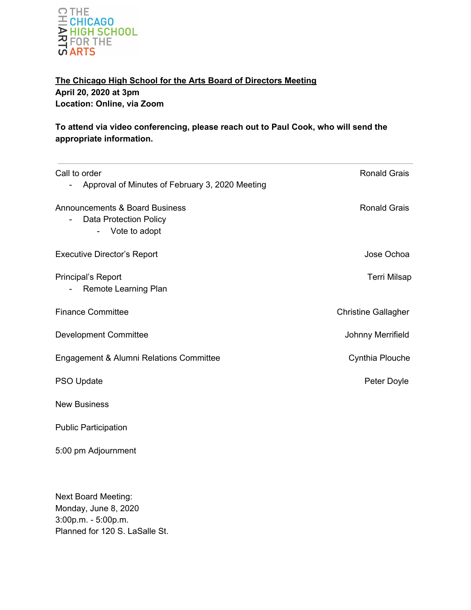

**The Chicago High School for the Arts Board of Directors Meeting April 20, 2020 at 3pm Location: Online, via Zoom**

**To attend via video conferencing, please reach out to Paul Cook, who will send the appropriate information.**

| Call to order<br>Approval of Minutes of February 3, 2020 Meeting                            | <b>Ronald Grais</b>        |
|---------------------------------------------------------------------------------------------|----------------------------|
| <b>Announcements &amp; Board Business</b><br><b>Data Protection Policy</b><br>Vote to adopt | <b>Ronald Grais</b>        |
| <b>Executive Director's Report</b>                                                          | Jose Ochoa                 |
| Principal's Report<br>Remote Learning Plan                                                  | <b>Terri Milsap</b>        |
| <b>Finance Committee</b>                                                                    | <b>Christine Gallagher</b> |
| <b>Development Committee</b>                                                                | Johnny Merrifield          |
| Engagement & Alumni Relations Committee                                                     | Cynthia Plouche            |
| PSO Update                                                                                  | Peter Doyle                |
| <b>New Business</b>                                                                         |                            |
| <b>Public Participation</b>                                                                 |                            |
| 5:00 pm Adjournment                                                                         |                            |
| <b>Next Board Meeting:</b>                                                                  |                            |

Monday, June 8, 2020 3:00p.m. - 5:00p.m. Planned for 120 S. LaSalle St.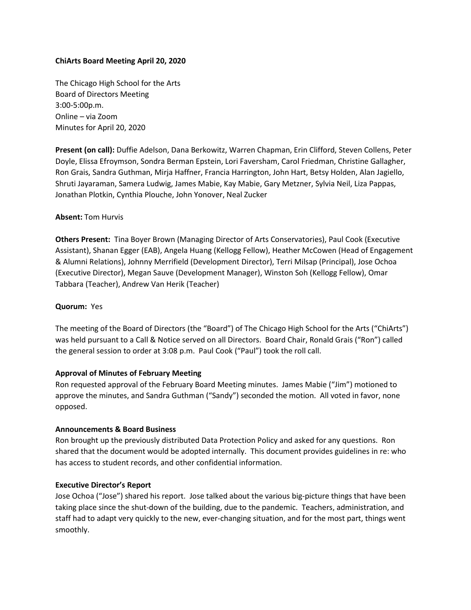# **ChiArts Board Meeting April 20, 2020**

The Chicago High School for the Arts Board of Directors Meeting 3:00-5:00p.m. Online – via Zoom Minutes for April 20, 2020

**Present (on call):** Duffie Adelson, Dana Berkowitz, Warren Chapman, Erin Clifford, Steven Collens, Peter Doyle, Elissa Efroymson, Sondra Berman Epstein, Lori Faversham, Carol Friedman, Christine Gallagher, Ron Grais, Sandra Guthman, Mirja Haffner, Francia Harrington, John Hart, Betsy Holden, Alan Jagiello, Shruti Jayaraman, Samera Ludwig, James Mabie, Kay Mabie, Gary Metzner, Sylvia Neil, Liza Pappas, Jonathan Plotkin, Cynthia Plouche, John Yonover, Neal Zucker

# **Absent:** Tom Hurvis

**Others Present:** Tina Boyer Brown (Managing Director of Arts Conservatories), Paul Cook (Executive Assistant), Shanan Egger (EAB), Angela Huang (Kellogg Fellow), Heather McCowen (Head of Engagement & Alumni Relations), Johnny Merrifield (Development Director), Terri Milsap (Principal), Jose Ochoa (Executive Director), Megan Sauve (Development Manager), Winston Soh (Kellogg Fellow), Omar Tabbara (Teacher), Andrew Van Herik (Teacher)

# **Quorum:** Yes

The meeting of the Board of Directors (the "Board") of The Chicago High School for the Arts ("ChiArts") was held pursuant to a Call & Notice served on all Directors. Board Chair, Ronald Grais ("Ron") called the general session to order at 3:08 p.m. Paul Cook ("Paul") took the roll call.

# **Approval of Minutes of February Meeting**

Ron requested approval of the February Board Meeting minutes. James Mabie ("Jim") motioned to approve the minutes, and Sandra Guthman ("Sandy") seconded the motion. All voted in favor, none opposed.

# **Announcements & Board Business**

Ron brought up the previously distributed Data Protection Policy and asked for any questions. Ron shared that the document would be adopted internally. This document provides guidelines in re: who has access to student records, and other confidential information.

# **Executive Director's Report**

Jose Ochoa ("Jose") shared his report. Jose talked about the various big-picture things that have been taking place since the shut-down of the building, due to the pandemic. Teachers, administration, and staff had to adapt very quickly to the new, ever-changing situation, and for the most part, things went smoothly.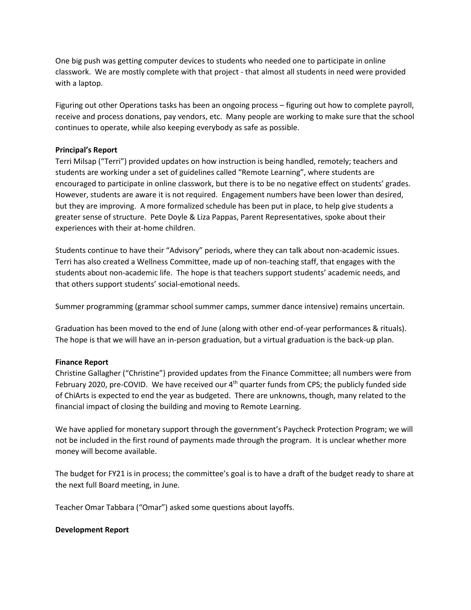One big push was getting computer devices to students who needed one to participate in online classwork. We are mostly complete with that project - that almost all students in need were provided with a laptop.

Figuring out other Operations tasks has been an ongoing process – figuring out how to complete payroll, receive and process donations, pay vendors, etc. Many people are working to make sure that the school continues to operate, while also keeping everybody as safe as possible.

# **Principal's Report**

Terri Milsap ("Terri") provided updates on how instruction is being handled, remotely; teachers and students are working under a set of guidelines called "Remote Learning", where students are encouraged to participate in online classwork, but there is to be no negative effect on students' grades. However, students are aware it is not required. Engagement numbers have been lower than desired, but they are improving. A more formalized schedule has been put in place, to help give students a greater sense of structure. Pete Doyle & Liza Pappas, Parent Representatives, spoke about their experiences with their at-home children.

Students continue to have their "Advisory" periods, where they can talk about non-academic issues. Terri has also created a Wellness Committee, made up of non-teaching staff, that engages with the students about non-academic life. The hope is that teachers support students' academic needs, and that others support students' social-emotional needs.

Summer programming (grammar school summer camps, summer dance intensive) remains uncertain.

Graduation has been moved to the end of June (along with other end-of-year performances & rituals). The hope is that we will have an in-person graduation, but a virtual graduation is the back-up plan.

# **Finance Report**

Christine Gallagher ("Christine") provided updates from the Finance Committee; all numbers were from February 2020, pre-COVID. We have received our  $4<sup>th</sup>$  quarter funds from CPS; the publicly funded side of ChiArts is expected to end the year as budgeted. There are unknowns, though, many related to the financial impact of closing the building and moving to Remote Learning.

We have applied for monetary support through the government's Paycheck Protection Program; we will not be included in the first round of payments made through the program. It is unclear whether more money will become available.

The budget for FY21 is in process; the committee's goal is to have a draft of the budget ready to share at the next full Board meeting, in June.

Teacher Omar Tabbara ("Omar") asked some questions about layoffs.

# **Development Report**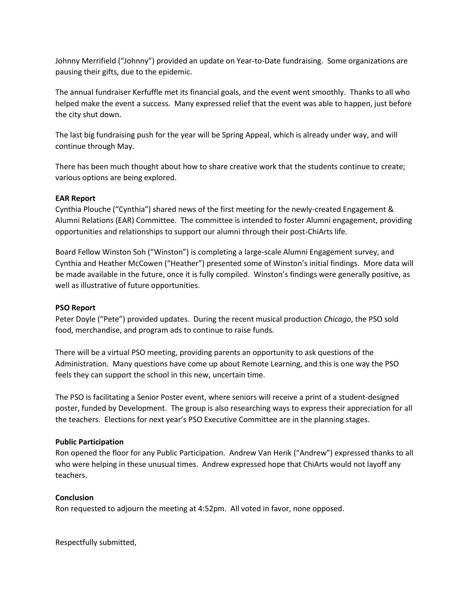Johnny Merrifield ("Johnny") provided an update on Year-to-Date fundraising. Some organizations are pausing their gifts, due to the epidemic.

The annual fundraiser Kerfuffle met its financial goals, and the event went smoothly. Thanks to all who helped make the event a success. Many expressed relief that the event was able to happen, just before the city shut down.

The last big fundraising push for the year will be Spring Appeal, which is already under way, and will continue through May.

There has been much thought about how to share creative work that the students continue to create; various options are being explored.

# **EAR Report**

Cynthia Plouche ("Cynthia") shared news of the first meeting for the newly-created Engagement & Alumni Relations (EAR) Committee. The committee is intended to foster Alumni engagement, providing opportunities and relationships to support our alumni through their post-ChiArts life.

Board Fellow Winston Soh ("Winston") is completing a large-scale Alumni Engagement survey, and Cynthia and Heather McCowen ("Heather") presented some of Winston's initial findings. More data will be made available in the future, once it is fully compiled. Winston's findings were generally positive, as well as illustrative of future opportunities.

#### **PSO Report**

Peter Doyle ("Pete") provided updates. During the recent musical production *Chicago*, the PSO sold food, merchandise, and program ads to continue to raise funds.

There will be a virtual PSO meeting, providing parents an opportunity to ask questions of the Administration. Many questions have come up about Remote Learning, and this is one way the PSO feels they can support the school in this new, uncertain time.

The PSO is facilitating a Senior Poster event, where seniors will receive a print of a student-designed poster, funded by Development. The group is also researching ways to express their appreciation for all the teachers. Elections for next year's PSO Executive Committee are in the planning stages.

#### **Public Participation**

Ron opened the floor for any Public Participation. Andrew Van Herik ("Andrew") expressed thanks to all who were helping in these unusual times. Andrew expressed hope that ChiArts would not layoff any teachers.

#### **Conclusion**

Ron requested to adjourn the meeting at 4:52pm. All voted in favor, none opposed.

Respectfully submitted,